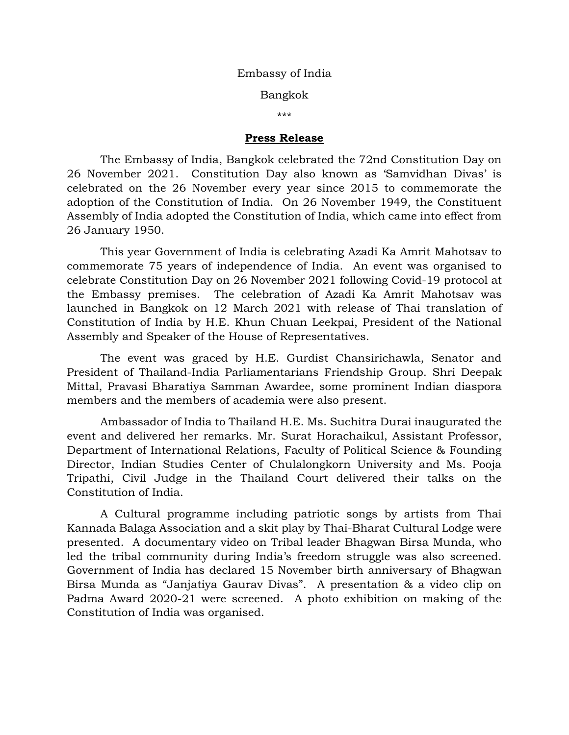## Embassy of India

Bangkok

\*\*\*

## **Press Release**

The Embassy of India, Bangkok celebrated the 72nd Constitution Day on 26 November 2021. Constitution Day also known as 'Samvidhan Divas' is celebrated on the 26 November every year since 2015 to commemorate the adoption of the Constitution of India. On 26 November 1949, the Constituent Assembly of India adopted the Constitution of India, which came into effect from 26 January 1950.

This year Government of India is celebrating Azadi Ka Amrit Mahotsav to commemorate 75 years of independence of India. An event was organised to celebrate Constitution Day on 26 November 2021 following Covid-19 protocol at the Embassy premises. The celebration of Azadi Ka Amrit Mahotsav was launched in Bangkok on 12 March 2021 with release of Thai translation of Constitution of India by H.E. Khun Chuan Leekpai, President of the National Assembly and Speaker of the House of Representatives.

The event was graced by H.E. Gurdist Chansirichawla, Senator and President of Thailand-India Parliamentarians Friendship Group. Shri Deepak Mittal, Pravasi Bharatiya Samman Awardee, some prominent Indian diaspora members and the members of academia were also present.

Ambassador of India to Thailand H.E. Ms. Suchitra Durai inaugurated the event and delivered her remarks. Mr. Surat Horachaikul, Assistant Professor, Department of International Relations, Faculty of Political Science & Founding Director, Indian Studies Center of Chulalongkorn University and Ms. Pooja Tripathi, Civil Judge in the Thailand Court delivered their talks on the Constitution of India.

A Cultural programme including patriotic songs by artists from Thai Kannada Balaga Association and a skit play by Thai-Bharat Cultural Lodge were presented. A documentary video on Tribal leader Bhagwan Birsa Munda, who led the tribal community during India's freedom struggle was also screened. Government of India has declared 15 November birth anniversary of Bhagwan Birsa Munda as "Janjatiya Gaurav Divas". A presentation & a video clip on Padma Award 2020-21 were screened. A photo exhibition on making of the Constitution of India was organised.